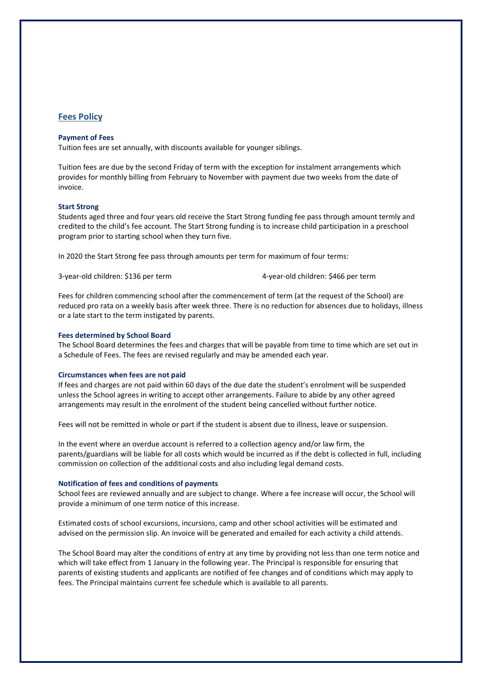## **Fees Policy**

## **Payment of Fees**

Tuition fees are set annually, with discounts available for younger siblings.

Tuition fees are due by the second Friday of term with the exception for instalment arrangements which provides for monthly billing from February to November with payment due two weeks from the date of invoice.

### **Start Strong**

Students aged three and four years old receive the Start Strong funding fee pass through amount termly and credited to the child's fee account. The Start Strong funding is to increase child participation in a preschool program prior to starting school when they turn five.

In 2020 the Start Strong fee pass through amounts per term for maximum of four terms:

3-year-old children: \$136 per term 4-year-old children: \$466 per term

Fees for children commencing school after the commencement of term (at the request of the School) are reduced pro rata on a weekly basis after week three. There is no reduction for absences due to holidays, illness or a late start to the term instigated by parents.

#### **Fees determined by School Board**

The School Board determines the fees and charges that will be payable from time to time which are set out in a Schedule of Fees. The fees are revised regularly and may be amended each year.

#### **Circumstances when fees are not paid**

If fees and charges are not paid within 60 days of the due date the student's enrolment will be suspended unless the School agrees in writing to accept other arrangements. Failure to abide by any other agreed arrangements may result in the enrolment of the student being cancelled without further notice.

Fees will not be remitted in whole or part if the student is absent due to illness, leave or suspension.

In the event where an overdue account is referred to a collection agency and/or law firm, the parents/guardians will be liable for all costs which would be incurred as if the debt is collected in full, including commission on collection of the additional costs and also including legal demand costs.

#### **Notification of fees and conditions of payments**

School fees are reviewed annually and are subject to change. Where a fee increase will occur, the School will provide a minimum of one term notice of this increase.

Estimated costs of school excursions, incursions, camp and other school activities will be estimated and advised on the permission slip. An invoice will be generated and emailed for each activity a child attends.

The School Board may alter the conditions of entry at any time by providing not less than one term notice and which will take effect from 1 January in the following year. The Principal is responsible for ensuring that parents of existing students and applicants are notified of fee changes and of conditions which may apply to fees. The Principal maintains current fee schedule which is available to all parents.